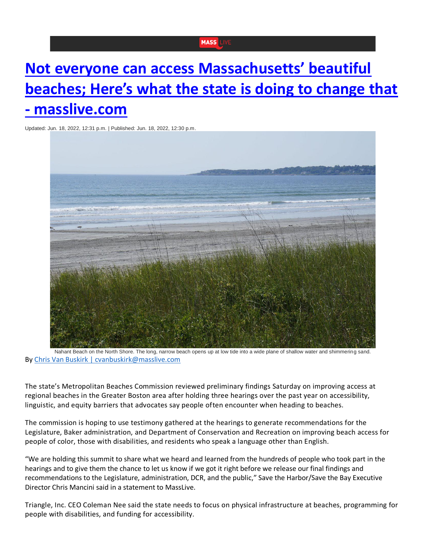## **MASS**

## **[Not everyone can access Massachusetts' beautiful](https://www.masslive.com/boston/2022/06/not-everyone-can-access-massachusetts-beautiful-beaches-heres-what-the-state-is-doing-to-change-that.html)  [beaches; Here's what the state is doing to change that](https://www.masslive.com/boston/2022/06/not-everyone-can-access-massachusetts-beautiful-beaches-heres-what-the-state-is-doing-to-change-that.html)  - [masslive.com](https://www.masslive.com/boston/2022/06/not-everyone-can-access-massachusetts-beautiful-beaches-heres-what-the-state-is-doing-to-change-that.html)**

Updated: Jun. 18, 2022, 12:31 p.m. | Published: Jun. 18, 2022, 12:30 p.m.



Nahant Beach on the North Shore. The long, narrow beach opens up at low tide into a wide plane of shallow water and shimmering sand. By [Chris Van Buskirk | cvanbuskirk@masslive.com](https://nam12.safelinks.protection.outlook.com/?url=http%3A%2F%2Fwww.masslive.com%2Fstaff%2Fcvanbuskirk%2Fposts.html&data=05%7C01%7Cksoulard%40triangle-inc.org%7Cd36716beaa6e4a503f4e08da539f7a71%7Caa164203ebd7416b8d0da5a59f395d3b%7C0%7C0%7C637914241658095594%7CUnknown%7CTWFpbGZsb3d8eyJWIjoiMC4wLjAwMDAiLCJQIjoiV2luMzIiLCJBTiI6Ik1haWwiLCJXVCI6Mn0%3D%7C3000%7C%7C%7C&sdata=r0ix50lryOg9KYc08e5uzKbh0ERtzP9e3hbSu9mjVhg%3D&reserved=0)

The state's Metropolitan Beaches Commission reviewed preliminary findings Saturday on improving access at regional beaches in the Greater Boston area after holding three hearings over the past year on accessibility, linguistic, and equity barriers that advocates say people often encounter when heading to beaches.

The commission is hoping to use testimony gathered at the hearings to generate recommendations for the Legislature, Baker administration, and Department of Conservation and Recreation on improving beach access for people of color, those with disabilities, and residents who speak a language other than English.

"We are holding this summit to share what we heard and learned from the hundreds of people who took part in the hearings and to give them the chance to let us know if we got it right before we release our final findings and recommendations to the Legislature, administration, DCR, and the public," Save the Harbor/Save the Bay Executive Director Chris Mancini said in a statement to MassLive.

Triangle, Inc. CEO Coleman Nee said the state needs to focus on physical infrastructure at beaches, programming for people with disabilities, and funding for accessibility.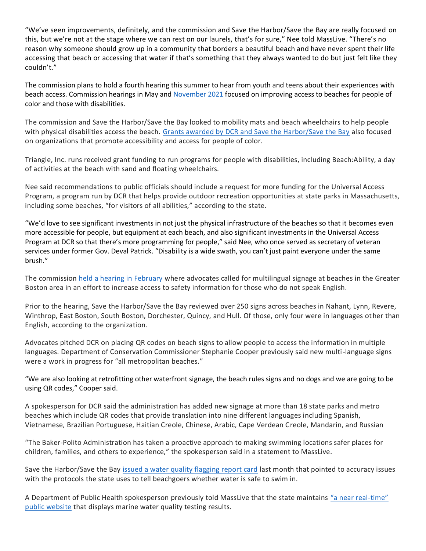"We've seen improvements, definitely, and the commission and Save the Harbor/Save the Bay are really focused on this, but we're not at the stage where we can rest on our laurels, that's for sure," Nee told MassLive. "There's no reason why someone should grow up in a community that borders a beautiful beach and have never spent their life accessing that beach or accessing that water if that's something that they always wanted to do but just felt like they couldn't."

The commission plans to hold a fourth hearing this summer to hear from youth and teens about their experiences with beach access. Commission hearings in May and [November 2021](https://nam12.safelinks.protection.outlook.com/?url=https%3A%2F%2Fstatehousenews.com%2Fnews%2F20212180&data=05%7C01%7Cksoulard%40triangle-inc.org%7Cd36716beaa6e4a503f4e08da539f7a71%7Caa164203ebd7416b8d0da5a59f395d3b%7C0%7C0%7C637914241658095594%7CUnknown%7CTWFpbGZsb3d8eyJWIjoiMC4wLjAwMDAiLCJQIjoiV2luMzIiLCJBTiI6Ik1haWwiLCJXVCI6Mn0%3D%7C3000%7C%7C%7C&sdata=m0BlfYbCG3EyX38ph8Zf355c%2Fcj7QKTM1xerJAsnKqQ%3D&reserved=0) focused on improving access to beaches for people of color and those with disabilities.

The commission and Save the Harbor/Save the Bay looked to mobility mats and beach wheelchairs to help people with physical disabilities access the beach. [Grants awarded by DCR and Save the Harbor/Save the Bay](https://nam12.safelinks.protection.outlook.com/?url=https%3A%2F%2Fwww.masslive.com%2Fentertainment%2F2022%2F06%2Ffree-beach-events-this-summer-beach-circuses-painting-classes-movie-nights-part-of-250000-grant-program-for-greater-boston-beaches.html&data=05%7C01%7Cksoulard%40triangle-inc.org%7Cd36716beaa6e4a503f4e08da539f7a71%7Caa164203ebd7416b8d0da5a59f395d3b%7C0%7C0%7C637914241658095594%7CUnknown%7CTWFpbGZsb3d8eyJWIjoiMC4wLjAwMDAiLCJQIjoiV2luMzIiLCJBTiI6Ik1haWwiLCJXVCI6Mn0%3D%7C3000%7C%7C%7C&sdata=pTVGqaoM%2FeB2WlxCkVBLyPE%2Fhi4f%2FpC%2BGCQy1xTpQx0%3D&reserved=0) also focused on organizations that promote accessibility and access for people of color.

Triangle, Inc. runs received grant funding to run programs for people with disabilities, including Beach:Ability, a day of activities at the beach with sand and floating wheelchairs.

Nee said recommendations to public officials should include a request for more funding for the Universal Access Program, a program run by DCR that helps provide outdoor recreation opportunities at state parks in Massachusetts, including some beaches, "for visitors of all abilities," according to the state.

"We'd love to see significant investments in not just the physical infrastructure of the beaches so that it becomes even more accessible for people, but equipment at each beach, and also significant investments in the Universal Access Program at DCR so that there's more programming for people," said Nee, who once served as secretary of veteran services under former Gov. Deval Patrick. "Disability is a wide swath, you can't just paint everyone under the same brush."

The commission [held a hearing in February](https://nam12.safelinks.protection.outlook.com/?url=https%3A%2F%2Fstatehousenews.com%2Fnews%2F2022274&data=05%7C01%7Cksoulard%40triangle-inc.org%7Cd36716beaa6e4a503f4e08da539f7a71%7Caa164203ebd7416b8d0da5a59f395d3b%7C0%7C0%7C637914241658095594%7CUnknown%7CTWFpbGZsb3d8eyJWIjoiMC4wLjAwMDAiLCJQIjoiV2luMzIiLCJBTiI6Ik1haWwiLCJXVCI6Mn0%3D%7C3000%7C%7C%7C&sdata=ZLZmW0MBt%2BVd0v%2ByTU1COqkTzfGAd5ZJbTExd4TWPcA%3D&reserved=0) where advocates called for multilingual signage at beaches in the Greater Boston area in an effort to increase access to safety information for those who do not speak English.

Prior to the hearing, Save the Harbor/Save the Bay reviewed over 250 signs across beaches in Nahant, Lynn, Revere, Winthrop, East Boston, South Boston, Dorchester, Quincy, and Hull. Of those, only four were in languages other than English, according to the organization.

Advocates pitched DCR on placing QR codes on beach signs to allow people to access the information in multiple languages. Department of Conservation Commissioner Stephanie Cooper previously said new multi-language signs were a work in progress for "all metropolitan beaches."

"We are also looking at retrofitting other waterfront signage, the beach rules signs and no dogs and we are going to be using QR codes," Cooper said.

A spokesperson for DCR said the administration has added new signage at more than 18 state parks and metro beaches which include QR codes that provide translation into nine different languages including Spanish, Vietnamese, Brazilian Portuguese, Haitian Creole, Chinese, Arabic, Cape Verdean Creole, Mandarin, and Russian

"The Baker-Polito Administration has taken a proactive approach to making swimming locations safer places for children, families, and others to experience," the spokesperson said in a statement to MassLive.

Save the Harbor/Save the Bay [issued a water quality flagging report card](https://nam12.safelinks.protection.outlook.com/?url=https%3A%2F%2Fwww.masslive.com%2Fboston%2F2022%2F05%2Fis-the-water-at-your-beach-safe-new-report-card-finds-issues-with-protocols-used-for-water-quality-flags-at-boston-harbor-beaches.html&data=05%7C01%7Cksoulard%40triangle-inc.org%7Cd36716beaa6e4a503f4e08da539f7a71%7Caa164203ebd7416b8d0da5a59f395d3b%7C0%7C0%7C637914241658095594%7CUnknown%7CTWFpbGZsb3d8eyJWIjoiMC4wLjAwMDAiLCJQIjoiV2luMzIiLCJBTiI6Ik1haWwiLCJXVCI6Mn0%3D%7C3000%7C%7C%7C&sdata=JCO0xP7oEj5vOoIWenMotdUKUMBmynR%2BqVgS2D4jK20%3D&reserved=0) last month that pointed to accuracy issues with the protocols the state uses to tell beachgoers whether water is safe to swim in.

A Department of Public Health spokesperson previously told MassLive that the state maintains ["a near real](https://nam12.safelinks.protection.outlook.com/?url=https%3A%2F%2Fwww.mass.gov%2Fbeach-water-quality&data=05%7C01%7Cksoulard%40triangle-inc.org%7Cd36716beaa6e4a503f4e08da539f7a71%7Caa164203ebd7416b8d0da5a59f395d3b%7C0%7C0%7C637914241658095594%7CUnknown%7CTWFpbGZsb3d8eyJWIjoiMC4wLjAwMDAiLCJQIjoiV2luMzIiLCJBTiI6Ik1haWwiLCJXVCI6Mn0%3D%7C3000%7C%7C%7C&sdata=i%2F2KHNtrkUf1uGrUzjPT5BwcNAO%2Fp689prdTmultvhE%3D&reserved=0)-time" [public website](https://nam12.safelinks.protection.outlook.com/?url=https%3A%2F%2Fwww.mass.gov%2Fbeach-water-quality&data=05%7C01%7Cksoulard%40triangle-inc.org%7Cd36716beaa6e4a503f4e08da539f7a71%7Caa164203ebd7416b8d0da5a59f395d3b%7C0%7C0%7C637914241658095594%7CUnknown%7CTWFpbGZsb3d8eyJWIjoiMC4wLjAwMDAiLCJQIjoiV2luMzIiLCJBTiI6Ik1haWwiLCJXVCI6Mn0%3D%7C3000%7C%7C%7C&sdata=i%2F2KHNtrkUf1uGrUzjPT5BwcNAO%2Fp689prdTmultvhE%3D&reserved=0) that displays marine water quality testing results.